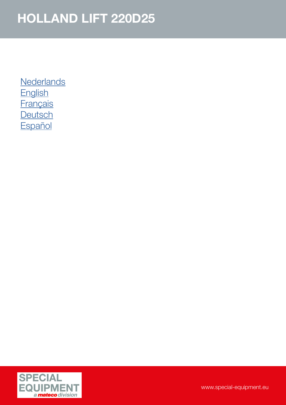**[Nederlands](#page-1-0) [English](#page-2-0) [Français](#page-3-0) [Deutsch](#page-4-0) [Español](#page-5-0)** 

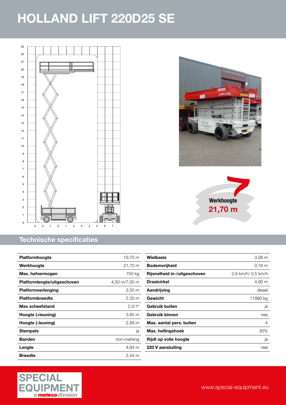<span id="page-1-0"></span>

#### Technische specificaties

| <b>Platformhoogte</b>       | 19,70 m            |
|-----------------------------|--------------------|
| Werkhoogte                  | 21,70 m            |
| Max. hefvermogen            | 750 kg             |
| Platformlengte/uitgeschoven | 4,50 m/7,00 m      |
| Platformverlenging          | $2,50 \, \text{m}$ |
| <b>Platformbreedte</b>      | 2,30 m             |
| Max scheefstand             | $2,5/1^{\circ}$    |
| Hoogte (+leuning)           | $3,65 \text{ m}$   |
| Hoogte (-leuning)           | 2,88 m             |
| <b>Stempels</b>             | ja                 |
| <b>Banden</b>               | non-marking        |
| Lengte                      | 4,84 m             |
| Breedte                     | 2.44 m             |





| Wielbasis                    | $3,08 \text{ m}$   |
|------------------------------|--------------------|
| <b>Bodemvrijheid</b>         | 0.16 m             |
| Rijsnelheid in-/uitgeschoven | 2,6 km/h/ 0,5 km/h |
| <b>Draaicirkel</b>           | 4,90 m             |
| Aandrijving                  | diesel             |
| Gewicht                      | 11990 kg           |
| Gebruik buiten               | ja                 |
| Gebruik binnen               | nee                |
| Max. aantal pers. buiten     | 4                  |
| Max. hellingshoek            | 30%                |
| Rijdt op volle hoogte        | ja                 |
| 220 V aansluiting            | nee                |
|                              |                    |

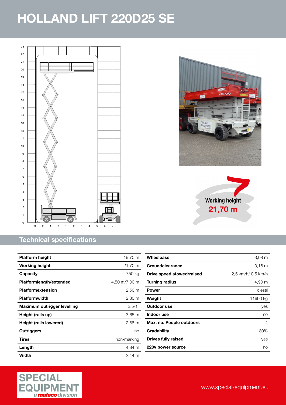<span id="page-2-0"></span>

#### Technical specifications

| <b>Platform height</b>      | 19,70 m              |
|-----------------------------|----------------------|
| Working height              | 21,70 m              |
| <b>Capacity</b>             | 750 kg               |
| Platformlength/extended     | 4,50 m/7,00 m        |
| Platformextension           | $2,50 \text{ m}$     |
| <b>Platformwidth</b>        | 2,30 m               |
| Maximum outrigger levelling | $2,5/1^{\circ}$      |
| Height (rails up)           | $3,65 \; \mathrm{m}$ |
| Height (rails lowered)      | 2,88 m               |
| Outriggers                  | no                   |
| Tires                       | non-marking          |
| Length                      | 4,84 m               |
| Width                       | $2.44 \text{ m}$     |



田野  $\alpha$  216191. NV/

WITH

SPECIA EQUIPME

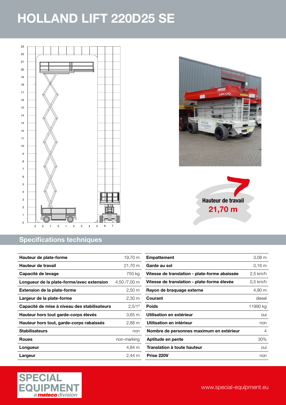<span id="page-3-0"></span>

#### Specifications techniques

| Hauteur de plate-forme                       | 19,70 m         |
|----------------------------------------------|-----------------|
| Hauteur de travail                           | 21,70 m         |
| Capacité de levage                           | 750 kg          |
| Longueur de la plate-forme/avec extension    | 4,50 /7,00 m    |
| <b>Extension de la plate-forme</b>           | 2,50 m          |
| Largeur de la plate-forme                    | 2,30 m          |
| Capacité de mise à niveau des stabilisateurs | $2,5/1^{\circ}$ |
| Hauteur hors tout garde-corps élevés         | 3,65 m          |
| Hauteur hors tout, garde-corps rabaissés     | 2,88 m          |
| <b>Stabilisateurs</b>                        | non             |
| <b>Roues</b>                                 | non-marking     |
| Longueur                                     | 4,84 m          |
| Largeur                                      | 2.44 m          |

| <b>Empattement</b>                            | 3.08 <sub>m</sub> |
|-----------------------------------------------|-------------------|
| Garde au sol                                  | 0.16 m            |
| Vitesse de translation - plate-forme abaissée | $2,5$ km/h        |
| Vitesse de translation - plate-forme élevée   | 0,5 km/h          |
| Rayon de braquage externe                     | 4,90 m            |
| Courant                                       | diesel            |
| <b>Poids</b>                                  | 11990 kg          |
| Utilisation en extérieur                      | oui               |
| Utilisation en intérieur                      | non               |
| Nombre de personnes maximum en extérieur      | 4                 |
| Aptitude en pente                             | 30%               |
| Translation à toute hauteur                   | oui               |
| Prise 220V                                    | non               |



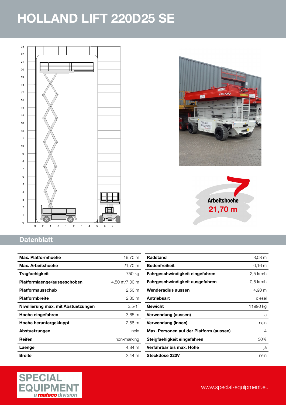<span id="page-4-0"></span>

# **HL-220 E SE.216394 NV/** .<br>Waxaa SPECIAL<br>EQUIPMENT

Arbeitshoehe 21,70 m

#### **Datenblatt**

| Max. Platformhoehe                  | 19,70 m              |
|-------------------------------------|----------------------|
| Max. Arbeitshoehe                   | 21,70 m              |
| Tragfaehigkeit                      | 750 kg               |
| Platformlaenge/ausgeschoben         | 4,50 m/7,00 m        |
| <b>Platformausschub</b>             | $2,50 \; \mathrm{m}$ |
| <b>Platformbreite</b>               | 2,30 m               |
| Nivellierung max. mit Abstuetzungen | $2,5/1^{\circ}$      |
| Hoehe eingefahren                   | 3,65 m               |
| Hoehe heruntergeklappt              | 2,88 m               |
| Abstuetzungen                       | nein                 |
| Reifen                              | non-marking          |
| Laenge                              | 4.84 m               |
| <b>Breite</b>                       | $2,44 \, m$          |

| $3,08 \, \text{m}$ |
|--------------------|
| $0.16 \text{ m}$   |
| 2,5 km/h           |
| 0,5 km/h           |
| 4,90 m             |
| diesel             |
| 11990 kg           |
| ja                 |
| nein               |
| 4                  |
| 30%                |
| ja                 |
| nein               |
|                    |